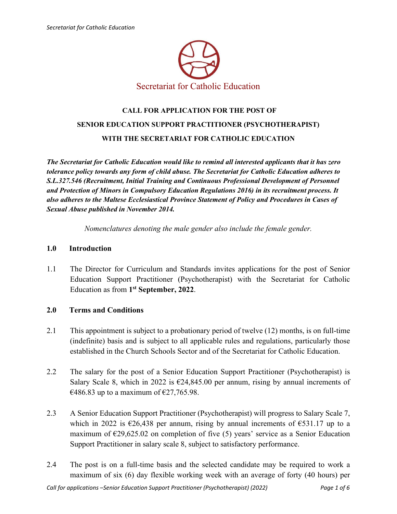

# **CALL FOR APPLICATION FOR THE POST OF SENIOR EDUCATION SUPPORT PRACTITIONER (PSYCHOTHERAPIST) WITH THE SECRETARIAT FOR CATHOLIC EDUCATION**

*The Secretariat for Catholic Education would like to remind all interested applicants that it has zero tolerance policy towards any form of child abuse. The Secretariat for Catholic Education adheres to S.L.327.546 (Recruitment, Initial Training and Continuous Professional Development of Personnel and Protection of Minors in Compulsory Education Regulations 2016) in its recruitment process. It also adheres to the Maltese Ecclesiastical Province Statement of Policy and Procedures in Cases of Sexual Abuse published in November 2014.* 

*Nomenclatures denoting the male gender also include the female gender.* 

#### **1.0 Introduction**

1.1 The Director for Curriculum and Standards invites applications for the post of Senior Education Support Practitioner (Psychotherapist) with the Secretariat for Catholic Education as from **1st September, 2022**.

#### **2.0 Terms and Conditions**

- 2.1 This appointment is subject to a probationary period of twelve (12) months, is on full-time (indefinite) basis and is subject to all applicable rules and regulations, particularly those established in the Church Schools Sector and of the Secretariat for Catholic Education.
- 2.2 The salary for the post of a Senior Education Support Practitioner (Psychotherapist) is Salary Scale 8, which in 2022 is  $\epsilon$ 24,845.00 per annum, rising by annual increments of €486.83 up to a maximum of €27,765.98.
- 2.3 A Senior Education Support Practitioner (Psychotherapist) will progress to Salary Scale 7, which in 2022 is  $\epsilon$ 26,438 per annum, rising by annual increments of  $\epsilon$ 531.17 up to a maximum of  $\epsilon$ 29,625.02 on completion of five (5) years' service as a Senior Education Support Practitioner in salary scale 8, subject to satisfactory performance.
- 2.4 The post is on a full-time basis and the selected candidate may be required to work a maximum of six (6) day flexible working week with an average of forty (40 hours) per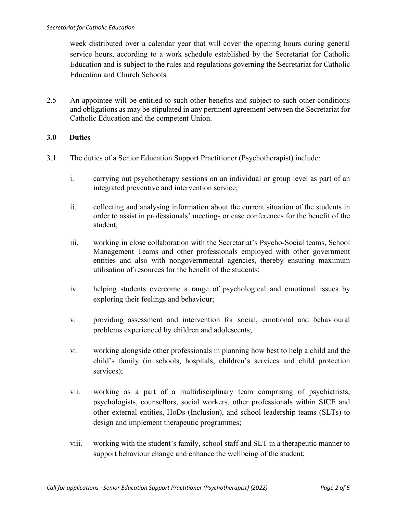week distributed over a calendar year that will cover the opening hours during general service hours, according to a work schedule established by the Secretariat for Catholic Education and is subject to the rules and regulations governing the Secretariat for Catholic Education and Church Schools.

2.5 An appointee will be entitled to such other benefits and subject to such other conditions and obligations as may be stipulated in any pertinent agreement between the Secretariat for Catholic Education and the competent Union.

## **3.0 Duties**

- 3.1 The duties of a Senior Education Support Practitioner (Psychotherapist) include:
	- i. carrying out psychotherapy sessions on an individual or group level as part of an integrated preventive and intervention service;
	- ii. collecting and analysing information about the current situation of the students in order to assist in professionals' meetings or case conferences for the benefit of the student;
	- iii. working in close collaboration with the Secretariat's Psycho-Social teams, School Management Teams and other professionals employed with other government entities and also with nongovernmental agencies, thereby ensuring maximum utilisation of resources for the benefit of the students;
	- iv. helping students overcome a range of psychological and emotional issues by exploring their feelings and behaviour;
	- v. providing assessment and intervention for social, emotional and behavioural problems experienced by children and adolescents;
	- vi. working alongside other professionals in planning how best to help a child and the child's family (in schools, hospitals, children's services and child protection services);
	- vii. working as a part of a multidisciplinary team comprising of psychiatrists, psychologists, counsellors, social workers, other professionals within SfCE and other external entities, HoDs (Inclusion), and school leadership teams (SLTs) to design and implement therapeutic programmes;
	- viii. working with the student's family, school staff and SLT in a therapeutic manner to support behaviour change and enhance the wellbeing of the student;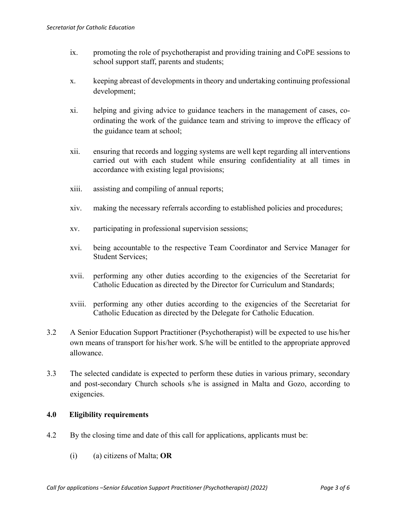- ix. promoting the role of psychotherapist and providing training and CoPE sessions to school support staff, parents and students;
- x. keeping abreast of developments in theory and undertaking continuing professional development;
- xi. helping and giving advice to guidance teachers in the management of cases, coordinating the work of the guidance team and striving to improve the efficacy of the guidance team at school;
- xii. ensuring that records and logging systems are well kept regarding all interventions carried out with each student while ensuring confidentiality at all times in accordance with existing legal provisions;
- xiii. assisting and compiling of annual reports;
- xiv. making the necessary referrals according to established policies and procedures;
- xv. participating in professional supervision sessions;
- xvi. being accountable to the respective Team Coordinator and Service Manager for Student Services;
- xvii. performing any other duties according to the exigencies of the Secretariat for Catholic Education as directed by the Director for Curriculum and Standards;
- xviii. performing any other duties according to the exigencies of the Secretariat for Catholic Education as directed by the Delegate for Catholic Education.
- 3.2 A Senior Education Support Practitioner (Psychotherapist) will be expected to use his/her own means of transport for his/her work. S/he will be entitled to the appropriate approved allowance.
- 3.3 The selected candidate is expected to perform these duties in various primary, secondary and post-secondary Church schools s/he is assigned in Malta and Gozo, according to exigencies.

#### **4.0 Eligibility requirements**

- 4.2 By the closing time and date of this call for applications, applicants must be:
	- (i) (a) citizens of Malta; **OR**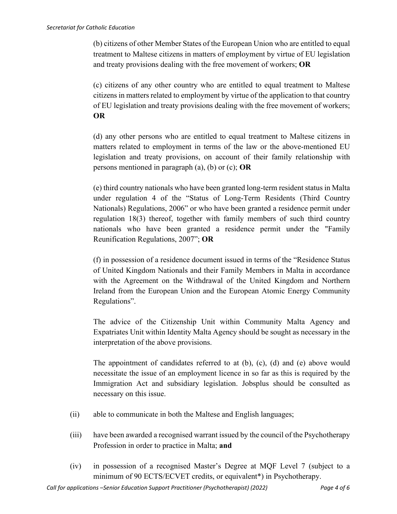(b) citizens of other Member States of the European Union who are entitled to equal treatment to Maltese citizens in matters of employment by virtue of EU legislation and treaty provisions dealing with the free movement of workers; **OR**

(c) citizens of any other country who are entitled to equal treatment to Maltese citizens in matters related to employment by virtue of the application to that country of EU legislation and treaty provisions dealing with the free movement of workers; **OR**

(d) any other persons who are entitled to equal treatment to Maltese citizens in matters related to employment in terms of the law or the above-mentioned EU legislation and treaty provisions, on account of their family relationship with persons mentioned in paragraph (a), (b) or (c); **OR**

(e) third country nationals who have been granted long-term resident status in Malta under regulation 4 of the "Status of Long-Term Residents (Third Country Nationals) Regulations, 2006" or who have been granted a residence permit under regulation 18(3) thereof, together with family members of such third country nationals who have been granted a residence permit under the "Family Reunification Regulations, 2007"; **OR**

(f) in possession of a residence document issued in terms of the "Residence Status of United Kingdom Nationals and their Family Members in Malta in accordance with the Agreement on the Withdrawal of the United Kingdom and Northern Ireland from the European Union and the European Atomic Energy Community Regulations".

The advice of the Citizenship Unit within Community Malta Agency and Expatriates Unit within Identity Malta Agency should be sought as necessary in the interpretation of the above provisions.

The appointment of candidates referred to at  $(b)$ ,  $(c)$ ,  $(d)$  and  $(e)$  above would necessitate the issue of an employment licence in so far as this is required by the Immigration Act and subsidiary legislation. Jobsplus should be consulted as necessary on this issue.

- (ii) able to communicate in both the Maltese and English languages;
- (iii) have been awarded a recognised warrant issued by the council of the Psychotherapy Profession in order to practice in Malta; **and**
- (iv) in possession of a recognised Master's Degree at MQF Level 7 (subject to a minimum of 90 ECTS/ECVET credits, or equivalent\*) in Psychotherapy.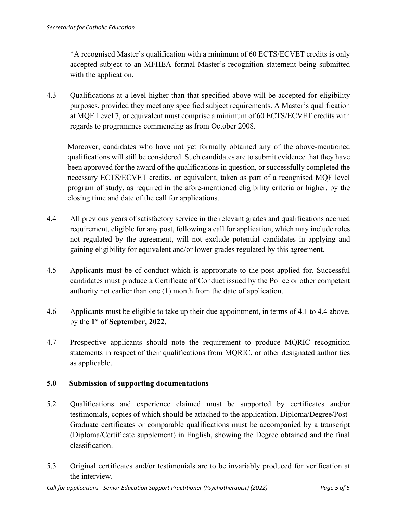\*A recognised Master's qualification with a minimum of 60 ECTS/ECVET credits is only accepted subject to an MFHEA formal Master's recognition statement being submitted with the application.

4.3 Qualifications at a level higher than that specified above will be accepted for eligibility purposes, provided they meet any specified subject requirements. A Master's qualification at MQF Level 7, or equivalent must comprise a minimum of 60 ECTS/ECVET credits with regards to programmes commencing as from October 2008.

Moreover, candidates who have not yet formally obtained any of the above-mentioned qualifications will still be considered. Such candidates are to submit evidence that they have been approved for the award of the qualifications in question, or successfully completed the necessary ECTS/ECVET credits, or equivalent, taken as part of a recognised MQF level program of study, as required in the afore-mentioned eligibility criteria or higher, by the closing time and date of the call for applications.

- 4.4 All previous years of satisfactory service in the relevant grades and qualifications accrued requirement, eligible for any post, following a call for application, which may include roles not regulated by the agreement, will not exclude potential candidates in applying and gaining eligibility for equivalent and/or lower grades regulated by this agreement.
- 4.5 Applicants must be of conduct which is appropriate to the post applied for. Successful candidates must produce a Certificate of Conduct issued by the Police or other competent authority not earlier than one (1) month from the date of application.
- 4.6 Applicants must be eligible to take up their due appointment, in terms of 4.1 to 4.4 above, by the **1st of September, 2022**.
- 4.7 Prospective applicants should note the requirement to produce MQRIC recognition statements in respect of their qualifications from MQRIC, or other designated authorities as applicable.

## **5.0 Submission of supporting documentations**

- 5.2 Qualifications and experience claimed must be supported by certificates and/or testimonials, copies of which should be attached to the application. Diploma/Degree/Post-Graduate certificates or comparable qualifications must be accompanied by a transcript (Diploma/Certificate supplement) in English, showing the Degree obtained and the final classification.
- 5.3 Original certificates and/or testimonials are to be invariably produced for verification at the interview.